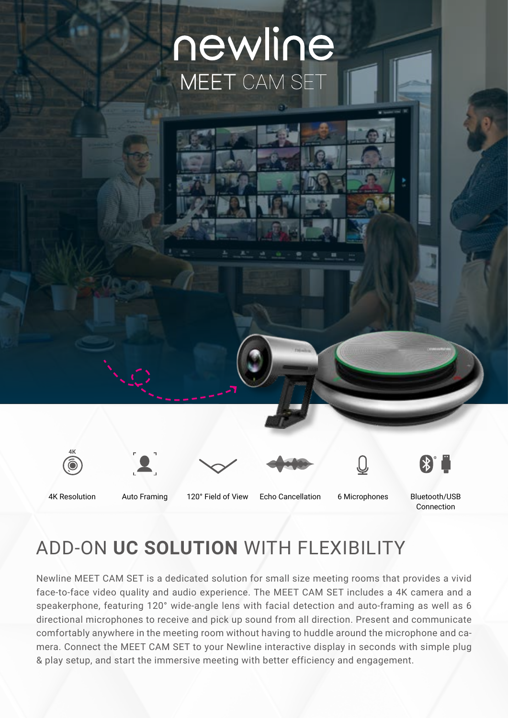# newline MEET CAM SET





4K Resolution Auto Framing 120° Field of View Echo Cancellation Bluetooth/USB 6 Microphones

Connection

 $\left( \mathbf{\mathbf{\ast}}\right) ^{\circ}$ 

## ADD-ON **UC SOLUTION** WITH FLEXIBILITY

Newline MEET CAM SET is a dedicated solution for small size meeting rooms that provides a vivid face-to-face video quality and audio experience. The MEET CAM SET includes a 4K camera and a speakerphone, featuring 120° wide-angle lens with facial detection and auto-framing as well as 6 directional microphones to receive and pick up sound from all direction. Present and communicate comfortably anywhere in the meeting room without having to huddle around the microphone and camera. Connect the MEET CAM SET to your Newline interactive display in seconds with simple plug & play setup, and start the immersive meeting with better efficiency and engagement.